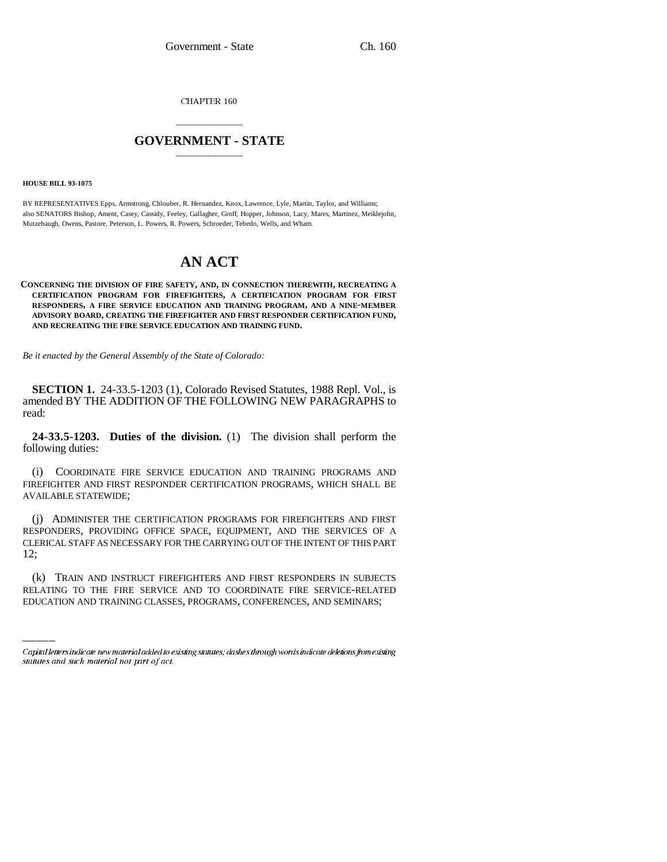**CHAPTER 160** 

## \_\_\_\_\_\_\_\_\_\_\_\_\_\_\_ **GOVERNMENT - STATE** \_\_\_\_\_\_\_\_\_\_\_\_\_\_\_

**HOUSE BILL 93-1075**

BY REPRESENTATIVES Epps, Armstrong, Chlouber, R. Hernandez, Knox, Lawrence, Lyle, Martin, Taylor, and Williams; also SENATORS Bishop, Ament, Casey, Cassidy, Feeley, Gallagher, Groff, Hopper, Johnson, Lacy, Mares, Martinez, Meiklejohn, Mutzebaugh, Owens, Pastore, Peterson, L. Powers, R. Powers, Schroeder, Tebedo, Wells, and Wham.

## **AN ACT**

## **CONCERNING THE DIVISION OF FIRE SAFETY, AND, IN CONNECTION THEREWITH, RECREATING A CERTIFICATION PROGRAM FOR FIREFIGHTERS, A CERTIFICATION PROGRAM FOR FIRST RESPONDERS, A FIRE SERVICE EDUCATION AND TRAINING PROGRAM, AND A NINE-MEMBER ADVISORY BOARD, CREATING THE FIREFIGHTER AND FIRST RESPONDER CERTIFICATION FUND, AND RECREATING THE FIRE SERVICE EDUCATION AND TRAINING FUND.**

*Be it enacted by the General Assembly of the State of Colorado:*

**SECTION 1.** 24-33.5-1203 (1), Colorado Revised Statutes, 1988 Repl. Vol., is amended BY THE ADDITION OF THE FOLLOWING NEW PARAGRAPHS to read:

**24-33.5-1203. Duties of the division.** (1) The division shall perform the following duties:

(i) COORDINATE FIRE SERVICE EDUCATION AND TRAINING PROGRAMS AND FIREFIGHTER AND FIRST RESPONDER CERTIFICATION PROGRAMS, WHICH SHALL BE AVAILABLE STATEWIDE;

12; (j) ADMINISTER THE CERTIFICATION PROGRAMS FOR FIREFIGHTERS AND FIRST RESPONDERS, PROVIDING OFFICE SPACE, EQUIPMENT, AND THE SERVICES OF A CLERICAL STAFF AS NECESSARY FOR THE CARRYING OUT OF THE INTENT OF THIS PART

(k) TRAIN AND INSTRUCT FIREFIGHTERS AND FIRST RESPONDERS IN SUBJECTS RELATING TO THE FIRE SERVICE AND TO COORDINATE FIRE SERVICE-RELATED EDUCATION AND TRAINING CLASSES, PROGRAMS, CONFERENCES, AND SEMINARS;

Capital letters indicate new material added to existing statutes; dashes through words indicate deletions from existing statutes and such material not part of act.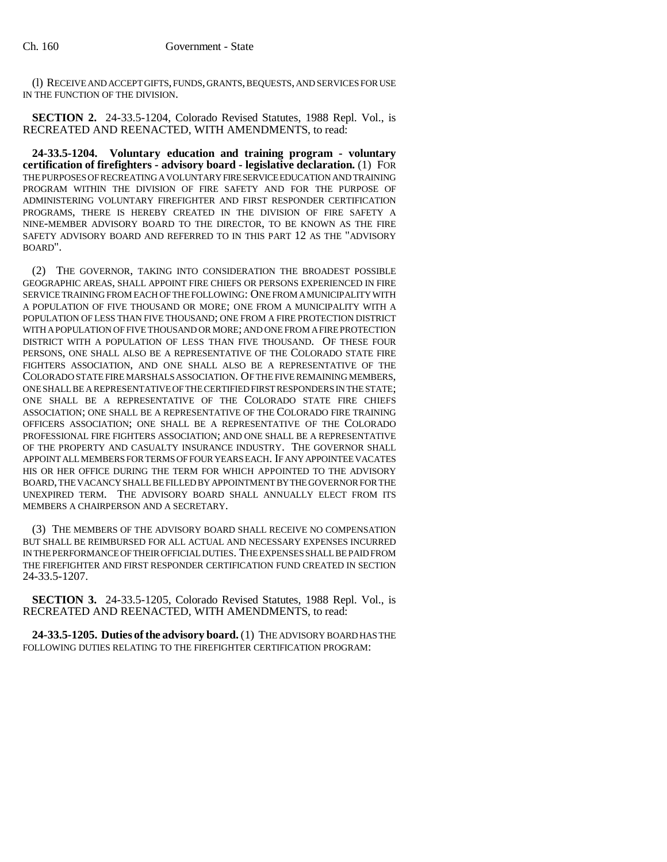(l) RECEIVE AND ACCEPT GIFTS, FUNDS, GRANTS, BEQUESTS, AND SERVICES FOR USE IN THE FUNCTION OF THE DIVISION.

**SECTION 2.** 24-33.5-1204, Colorado Revised Statutes, 1988 Repl. Vol., is RECREATED AND REENACTED, WITH AMENDMENTS, to read:

**24-33.5-1204. Voluntary education and training program - voluntary certification of firefighters - advisory board - legislative declaration.** (1) FOR THE PURPOSES OF RECREATING A VOLUNTARY FIRE SERVICE EDUCATION AND TRAINING PROGRAM WITHIN THE DIVISION OF FIRE SAFETY AND FOR THE PURPOSE OF ADMINISTERING VOLUNTARY FIREFIGHTER AND FIRST RESPONDER CERTIFICATION PROGRAMS, THERE IS HEREBY CREATED IN THE DIVISION OF FIRE SAFETY A NINE-MEMBER ADVISORY BOARD TO THE DIRECTOR, TO BE KNOWN AS THE FIRE SAFETY ADVISORY BOARD AND REFERRED TO IN THIS PART 12 AS THE "ADVISORY BOARD".

(2) THE GOVERNOR, TAKING INTO CONSIDERATION THE BROADEST POSSIBLE GEOGRAPHIC AREAS, SHALL APPOINT FIRE CHIEFS OR PERSONS EXPERIENCED IN FIRE SERVICE TRAINING FROM EACH OF THE FOLLOWING: ONE FROM A MUNICIPALITY WITH A POPULATION OF FIVE THOUSAND OR MORE; ONE FROM A MUNICIPALITY WITH A POPULATION OF LESS THAN FIVE THOUSAND; ONE FROM A FIRE PROTECTION DISTRICT WITH A POPULATION OF FIVE THOUSAND OR MORE; AND ONE FROM A FIRE PROTECTION DISTRICT WITH A POPULATION OF LESS THAN FIVE THOUSAND. OF THESE FOUR PERSONS, ONE SHALL ALSO BE A REPRESENTATIVE OF THE COLORADO STATE FIRE FIGHTERS ASSOCIATION, AND ONE SHALL ALSO BE A REPRESENTATIVE OF THE COLORADO STATE FIRE MARSHALS ASSOCIATION. OF THE FIVE REMAINING MEMBERS, ONE SHALL BE A REPRESENTATIVE OF THE CERTIFIED FIRST RESPONDERS IN THE STATE; ONE SHALL BE A REPRESENTATIVE OF THE COLORADO STATE FIRE CHIEFS ASSOCIATION; ONE SHALL BE A REPRESENTATIVE OF THE COLORADO FIRE TRAINING OFFICERS ASSOCIATION; ONE SHALL BE A REPRESENTATIVE OF THE COLORADO PROFESSIONAL FIRE FIGHTERS ASSOCIATION; AND ONE SHALL BE A REPRESENTATIVE OF THE PROPERTY AND CASUALTY INSURANCE INDUSTRY. THE GOVERNOR SHALL APPOINT ALL MEMBERS FOR TERMS OF FOUR YEARS EACH. IF ANY APPOINTEE VACATES HIS OR HER OFFICE DURING THE TERM FOR WHICH APPOINTED TO THE ADVISORY BOARD, THE VACANCY SHALL BE FILLED BY APPOINTMENT BY THE GOVERNOR FOR THE UNEXPIRED TERM. THE ADVISORY BOARD SHALL ANNUALLY ELECT FROM ITS MEMBERS A CHAIRPERSON AND A SECRETARY.

(3) THE MEMBERS OF THE ADVISORY BOARD SHALL RECEIVE NO COMPENSATION BUT SHALL BE REIMBURSED FOR ALL ACTUAL AND NECESSARY EXPENSES INCURRED IN THE PERFORMANCE OF THEIR OFFICIAL DUTIES. THE EXPENSES SHALL BE PAID FROM THE FIREFIGHTER AND FIRST RESPONDER CERTIFICATION FUND CREATED IN SECTION 24-33.5-1207.

**SECTION 3.** 24-33.5-1205, Colorado Revised Statutes, 1988 Repl. Vol., is RECREATED AND REENACTED, WITH AMENDMENTS, to read:

**24-33.5-1205. Duties of the advisory board.** (1) THE ADVISORY BOARD HAS THE FOLLOWING DUTIES RELATING TO THE FIREFIGHTER CERTIFICATION PROGRAM: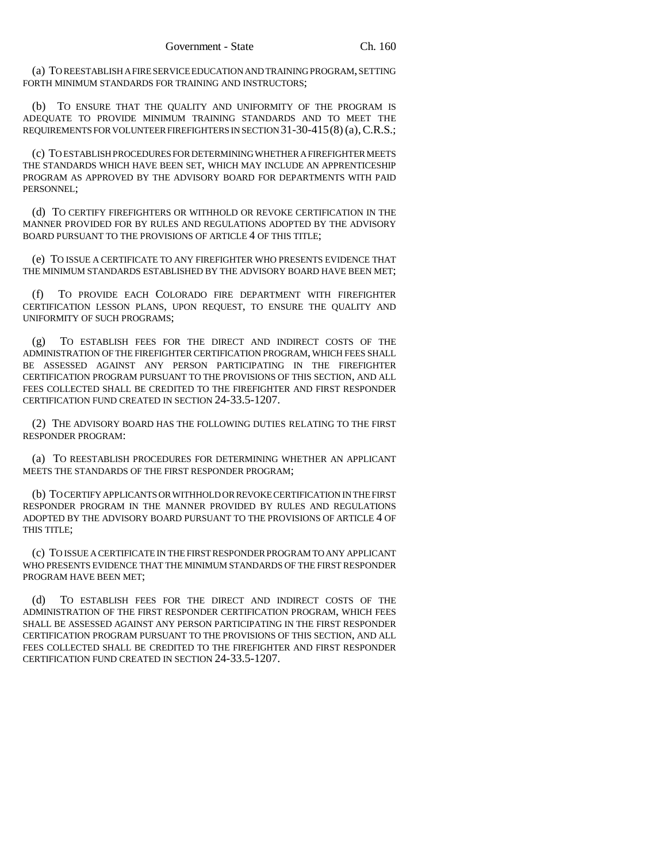(a) TO REESTABLISH A FIRE SERVICE EDUCATION AND TRAINING PROGRAM, SETTING FORTH MINIMUM STANDARDS FOR TRAINING AND INSTRUCTORS;

(b) TO ENSURE THAT THE QUALITY AND UNIFORMITY OF THE PROGRAM IS ADEQUATE TO PROVIDE MINIMUM TRAINING STANDARDS AND TO MEET THE REQUIREMENTS FOR VOLUNTEER FIREFIGHTERS IN SECTION 31-30-415(8) (a), C.R.S.;

(c) TO ESTABLISH PROCEDURES FOR DETERMINING WHETHER A FIREFIGHTER MEETS THE STANDARDS WHICH HAVE BEEN SET, WHICH MAY INCLUDE AN APPRENTICESHIP PROGRAM AS APPROVED BY THE ADVISORY BOARD FOR DEPARTMENTS WITH PAID PERSONNEL;

(d) TO CERTIFY FIREFIGHTERS OR WITHHOLD OR REVOKE CERTIFICATION IN THE MANNER PROVIDED FOR BY RULES AND REGULATIONS ADOPTED BY THE ADVISORY BOARD PURSUANT TO THE PROVISIONS OF ARTICLE 4 OF THIS TITLE;

(e) TO ISSUE A CERTIFICATE TO ANY FIREFIGHTER WHO PRESENTS EVIDENCE THAT THE MINIMUM STANDARDS ESTABLISHED BY THE ADVISORY BOARD HAVE BEEN MET;

(f) TO PROVIDE EACH COLORADO FIRE DEPARTMENT WITH FIREFIGHTER CERTIFICATION LESSON PLANS, UPON REQUEST, TO ENSURE THE QUALITY AND UNIFORMITY OF SUCH PROGRAMS;

TO ESTABLISH FEES FOR THE DIRECT AND INDIRECT COSTS OF THE ADMINISTRATION OF THE FIREFIGHTER CERTIFICATION PROGRAM, WHICH FEES SHALL BE ASSESSED AGAINST ANY PERSON PARTICIPATING IN THE FIREFIGHTER CERTIFICATION PROGRAM PURSUANT TO THE PROVISIONS OF THIS SECTION, AND ALL FEES COLLECTED SHALL BE CREDITED TO THE FIREFIGHTER AND FIRST RESPONDER CERTIFICATION FUND CREATED IN SECTION 24-33.5-1207.

(2) THE ADVISORY BOARD HAS THE FOLLOWING DUTIES RELATING TO THE FIRST RESPONDER PROGRAM:

(a) TO REESTABLISH PROCEDURES FOR DETERMINING WHETHER AN APPLICANT MEETS THE STANDARDS OF THE FIRST RESPONDER PROGRAM;

(b) TO CERTIFY APPLICANTS OR WITHHOLD OR REVOKE CERTIFICATION IN THE FIRST RESPONDER PROGRAM IN THE MANNER PROVIDED BY RULES AND REGULATIONS ADOPTED BY THE ADVISORY BOARD PURSUANT TO THE PROVISIONS OF ARTICLE 4 OF THIS TITLE;

(c) TO ISSUE A CERTIFICATE IN THE FIRST RESPONDER PROGRAM TO ANY APPLICANT WHO PRESENTS EVIDENCE THAT THE MINIMUM STANDARDS OF THE FIRST RESPONDER PROGRAM HAVE BEEN MET;

(d) TO ESTABLISH FEES FOR THE DIRECT AND INDIRECT COSTS OF THE ADMINISTRATION OF THE FIRST RESPONDER CERTIFICATION PROGRAM, WHICH FEES SHALL BE ASSESSED AGAINST ANY PERSON PARTICIPATING IN THE FIRST RESPONDER CERTIFICATION PROGRAM PURSUANT TO THE PROVISIONS OF THIS SECTION, AND ALL FEES COLLECTED SHALL BE CREDITED TO THE FIREFIGHTER AND FIRST RESPONDER CERTIFICATION FUND CREATED IN SECTION 24-33.5-1207.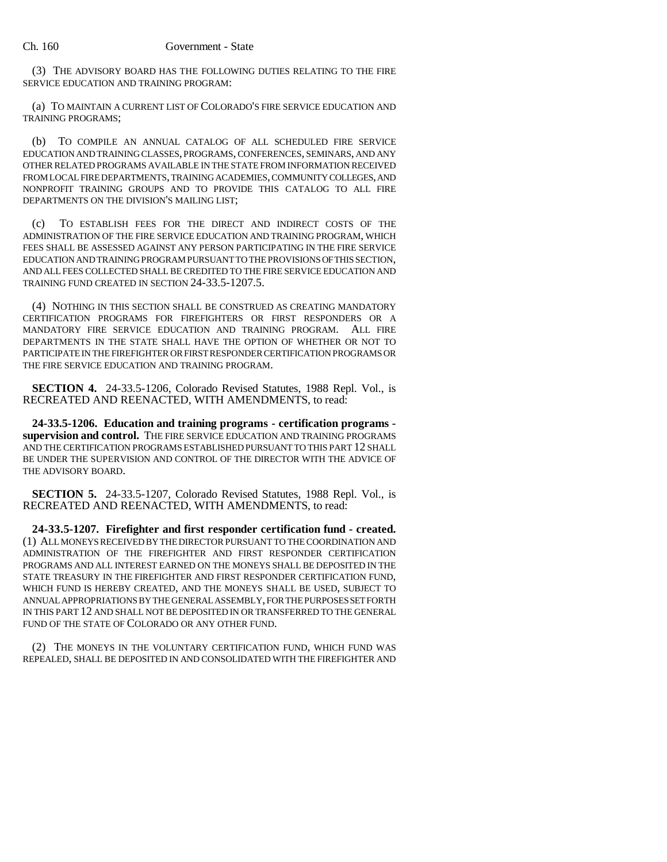(3) THE ADVISORY BOARD HAS THE FOLLOWING DUTIES RELATING TO THE FIRE SERVICE EDUCATION AND TRAINING PROGRAM:

(a) TO MAINTAIN A CURRENT LIST OF COLORADO'S FIRE SERVICE EDUCATION AND TRAINING PROGRAMS;

(b) TO COMPILE AN ANNUAL CATALOG OF ALL SCHEDULED FIRE SERVICE EDUCATION AND TRAINING CLASSES, PROGRAMS, CONFERENCES, SEMINARS, AND ANY OTHER RELATED PROGRAMS AVAILABLE IN THE STATE FROM INFORMATION RECEIVED FROM LOCAL FIRE DEPARTMENTS, TRAINING ACADEMIES, COMMUNITY COLLEGES, AND NONPROFIT TRAINING GROUPS AND TO PROVIDE THIS CATALOG TO ALL FIRE DEPARTMENTS ON THE DIVISION'S MAILING LIST;

(c) TO ESTABLISH FEES FOR THE DIRECT AND INDIRECT COSTS OF THE ADMINISTRATION OF THE FIRE SERVICE EDUCATION AND TRAINING PROGRAM, WHICH FEES SHALL BE ASSESSED AGAINST ANY PERSON PARTICIPATING IN THE FIRE SERVICE EDUCATION AND TRAINING PROGRAM PURSUANT TO THE PROVISIONS OF THIS SECTION, AND ALL FEES COLLECTED SHALL BE CREDITED TO THE FIRE SERVICE EDUCATION AND TRAINING FUND CREATED IN SECTION 24-33.5-1207.5.

(4) NOTHING IN THIS SECTION SHALL BE CONSTRUED AS CREATING MANDATORY CERTIFICATION PROGRAMS FOR FIREFIGHTERS OR FIRST RESPONDERS OR A MANDATORY FIRE SERVICE EDUCATION AND TRAINING PROGRAM. ALL FIRE DEPARTMENTS IN THE STATE SHALL HAVE THE OPTION OF WHETHER OR NOT TO PARTICIPATE IN THE FIREFIGHTER OR FIRST RESPONDER CERTIFICATION PROGRAMS OR THE FIRE SERVICE EDUCATION AND TRAINING PROGRAM.

**SECTION 4.** 24-33.5-1206, Colorado Revised Statutes, 1988 Repl. Vol., is RECREATED AND REENACTED, WITH AMENDMENTS, to read:

**24-33.5-1206. Education and training programs - certification programs supervision and control.** THE FIRE SERVICE EDUCATION AND TRAINING PROGRAMS AND THE CERTIFICATION PROGRAMS ESTABLISHED PURSUANT TO THIS PART 12 SHALL BE UNDER THE SUPERVISION AND CONTROL OF THE DIRECTOR WITH THE ADVICE OF THE ADVISORY BOARD.

**SECTION 5.** 24-33.5-1207, Colorado Revised Statutes, 1988 Repl. Vol., is RECREATED AND REENACTED, WITH AMENDMENTS, to read:

**24-33.5-1207. Firefighter and first responder certification fund - created.** (1) ALL MONEYS RECEIVED BY THE DIRECTOR PURSUANT TO THE COORDINATION AND ADMINISTRATION OF THE FIREFIGHTER AND FIRST RESPONDER CERTIFICATION PROGRAMS AND ALL INTEREST EARNED ON THE MONEYS SHALL BE DEPOSITED IN THE STATE TREASURY IN THE FIREFIGHTER AND FIRST RESPONDER CERTIFICATION FUND, WHICH FUND IS HEREBY CREATED, AND THE MONEYS SHALL BE USED, SUBJECT TO ANNUAL APPROPRIATIONS BY THE GENERAL ASSEMBLY, FOR THE PURPOSES SET FORTH IN THIS PART 12 AND SHALL NOT BE DEPOSITED IN OR TRANSFERRED TO THE GENERAL FUND OF THE STATE OF COLORADO OR ANY OTHER FUND.

(2) THE MONEYS IN THE VOLUNTARY CERTIFICATION FUND, WHICH FUND WAS REPEALED, SHALL BE DEPOSITED IN AND CONSOLIDATED WITH THE FIREFIGHTER AND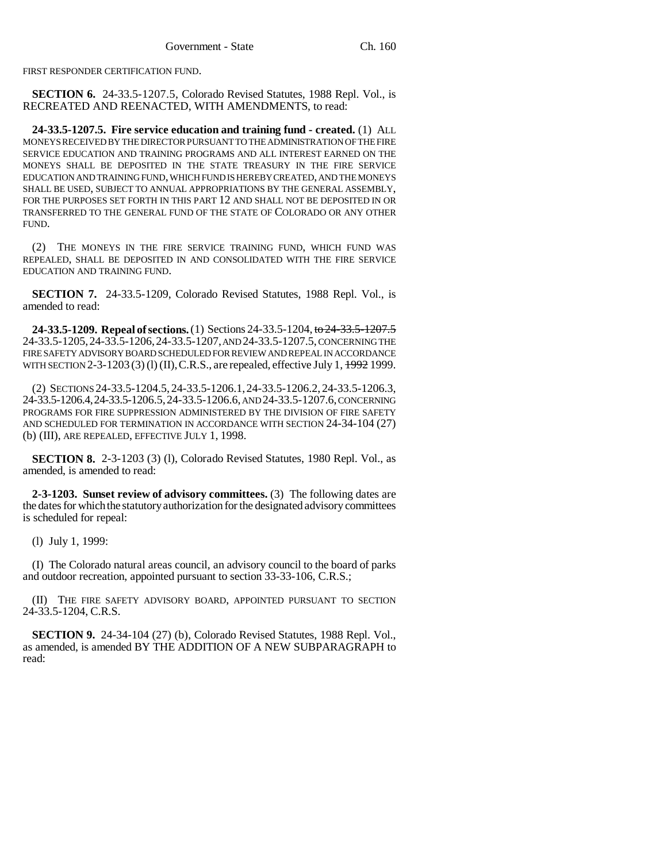FIRST RESPONDER CERTIFICATION FUND.

**SECTION 6.** 24-33.5-1207.5, Colorado Revised Statutes, 1988 Repl. Vol., is RECREATED AND REENACTED, WITH AMENDMENTS, to read:

**24-33.5-1207.5. Fire service education and training fund - created.** (1) ALL MONEYS RECEIVED BY THE DIRECTOR PURSUANT TO THE ADMINISTRATION OF THE FIRE SERVICE EDUCATION AND TRAINING PROGRAMS AND ALL INTEREST EARNED ON THE MONEYS SHALL BE DEPOSITED IN THE STATE TREASURY IN THE FIRE SERVICE EDUCATION AND TRAINING FUND, WHICH FUND IS HEREBY CREATED, AND THE MONEYS SHALL BE USED, SUBJECT TO ANNUAL APPROPRIATIONS BY THE GENERAL ASSEMBLY, FOR THE PURPOSES SET FORTH IN THIS PART 12 AND SHALL NOT BE DEPOSITED IN OR TRANSFERRED TO THE GENERAL FUND OF THE STATE OF COLORADO OR ANY OTHER FUND.

(2) THE MONEYS IN THE FIRE SERVICE TRAINING FUND, WHICH FUND WAS REPEALED, SHALL BE DEPOSITED IN AND CONSOLIDATED WITH THE FIRE SERVICE EDUCATION AND TRAINING FUND.

**SECTION 7.** 24-33.5-1209, Colorado Revised Statutes, 1988 Repl. Vol., is amended to read:

**24-33.5-1209. Repeal of sections.** (1) Sections 24-33.5-1204, to 24-33.5-1207.5 24-33.5-1205,24-33.5-1206,24-33.5-1207, AND 24-33.5-1207.5, CONCERNING THE FIRE SAFETY ADVISORY BOARD SCHEDULED FOR REVIEW AND REPEAL IN ACCORDANCE WITH SECTION 2-3-1203 (3) (1) (II), C.R.S., are repealed, effective July 1, 1992 1999.

(2) SECTIONS 24-33.5-1204.5, 24-33.5-1206.1,24-33.5-1206.2, 24-33.5-1206.3, 24-33.5-1206.4,24-33.5-1206.5,24-33.5-1206.6, AND 24-33.5-1207.6, CONCERNING PROGRAMS FOR FIRE SUPPRESSION ADMINISTERED BY THE DIVISION OF FIRE SAFETY AND SCHEDULED FOR TERMINATION IN ACCORDANCE WITH SECTION 24-34-104 (27) (b) (III), ARE REPEALED, EFFECTIVE JULY 1, 1998.

**SECTION 8.** 2-3-1203 (3) (1), Colorado Revised Statutes, 1980 Repl. Vol., as amended, is amended to read:

**2-3-1203. Sunset review of advisory committees.** (3) The following dates are the dates for which the statutory authorization for the designated advisory committees is scheduled for repeal:

(l) July 1, 1999:

(I) The Colorado natural areas council, an advisory council to the board of parks and outdoor recreation, appointed pursuant to section 33-33-106, C.R.S.;

(II) THE FIRE SAFETY ADVISORY BOARD, APPOINTED PURSUANT TO SECTION 24-33.5-1204, C.R.S.

**SECTION 9.** 24-34-104 (27) (b), Colorado Revised Statutes, 1988 Repl. Vol., as amended, is amended BY THE ADDITION OF A NEW SUBPARAGRAPH to read: